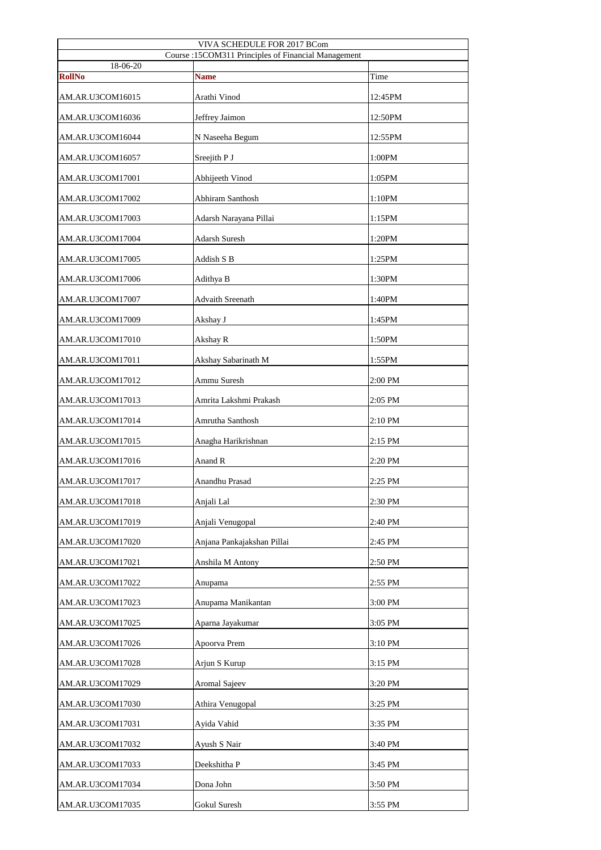| VIVA SCHEDULE FOR 2017 BCom<br>Course :15COM311 Principles of Financial Management |                            |         |  |  |
|------------------------------------------------------------------------------------|----------------------------|---------|--|--|
| 18-06-20                                                                           |                            |         |  |  |
| <b>RollNo</b>                                                                      | <b>Name</b>                | Time    |  |  |
| AM.AR.U3COM16015                                                                   | Arathi Vinod               | 12:45PM |  |  |
| AM.AR.U3COM16036                                                                   | Jeffrey Jaimon             | 12:50PM |  |  |
| AM.AR.U3COM16044                                                                   | N Naseeha Begum            | 12:55PM |  |  |
| AM.AR.U3COM16057                                                                   | Sreejith P J               | 1:00PM  |  |  |
| AM.AR.U3COM17001                                                                   | Abhijeeth Vinod            | 1:05PM  |  |  |
| AM.AR.U3COM17002                                                                   | <b>Abhiram Santhosh</b>    | 1:10PM  |  |  |
| AM.AR.U3COM17003                                                                   | Adarsh Narayana Pillai     | 1:15PM  |  |  |
| AM.AR.U3COM17004                                                                   | <b>Adarsh Suresh</b>       | 1:20PM  |  |  |
| AM.AR.U3COM17005                                                                   | Addish S B                 | 1:25PM  |  |  |
| AM.AR.U3COM17006                                                                   | Adithya B                  | 1:30PM  |  |  |
| AM.AR.U3COM17007                                                                   | <b>Advaith Sreenath</b>    | 1:40PM  |  |  |
| AM.AR.U3COM17009                                                                   | Akshay J                   | 1:45PM  |  |  |
| AM.AR.U3COM17010                                                                   | Akshay R                   | 1:50PM  |  |  |
| AM.AR.U3COM17011                                                                   | Akshay Sabarinath M        | 1:55PM  |  |  |
| AM.AR.U3COM17012                                                                   | Ammu Suresh                | 2:00 PM |  |  |
| AM.AR.U3COM17013                                                                   | Amrita Lakshmi Prakash     | 2:05 PM |  |  |
| AM.AR.U3COM17014                                                                   | Amrutha Santhosh           | 2:10 PM |  |  |
| AM.AR.U3COM17015                                                                   | Anagha Harikrishnan        | 2:15 PM |  |  |
| AM.AR.U3COM17016                                                                   | Anand R                    | 2:20 PM |  |  |
| AM.AR.U3COM17017                                                                   | Anandhu Prasad             | 2:25 PM |  |  |
| AM.AR.U3COM17018                                                                   | Anjali Lal                 | 2:30 PM |  |  |
| AM.AR.U3COM17019                                                                   | Anjali Venugopal           | 2:40 PM |  |  |
| AM.AR.U3COM17020                                                                   | Anjana Pankajakshan Pillai | 2:45 PM |  |  |
| AM.AR.U3COM17021                                                                   | Anshila M Antony           | 2:50 PM |  |  |
| AM.AR.U3COM17022                                                                   | Anupama                    | 2:55 PM |  |  |
| AM.AR.U3COM17023                                                                   | Anupama Manikantan         | 3:00 PM |  |  |
| AM.AR.U3COM17025                                                                   | Aparna Jayakumar           | 3:05 PM |  |  |
| AM.AR.U3COM17026                                                                   | Apoorva Prem               | 3:10 PM |  |  |
| AM.AR.U3COM17028                                                                   | Arjun S Kurup              | 3:15 PM |  |  |
| AM.AR.U3COM17029                                                                   | <b>Aromal Sajeev</b>       | 3:20 PM |  |  |
| AM.AR.U3COM17030                                                                   | Athira Venugopal           | 3:25 PM |  |  |
| AM.AR.U3COM17031                                                                   | Ayida Vahid                | 3:35 PM |  |  |
| AM.AR.U3COM17032                                                                   | Ayush S Nair               | 3:40 PM |  |  |
| AM.AR.U3COM17033                                                                   | Deekshitha P               | 3:45 PM |  |  |
| AM.AR.U3COM17034                                                                   | Dona John                  | 3:50 PM |  |  |
| AM.AR.U3COM17035                                                                   | Gokul Suresh               | 3:55 PM |  |  |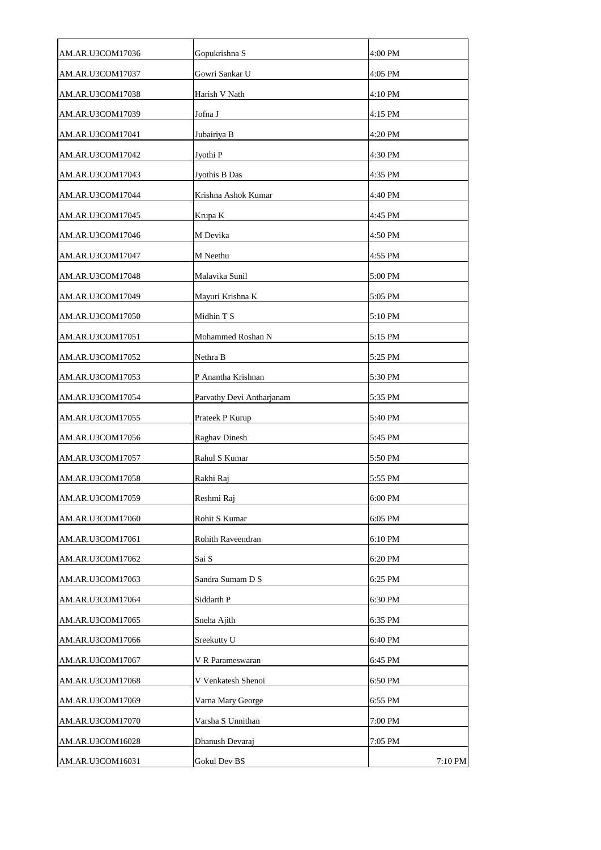| AM.AR.U3COM17036 | Gopukrishna S             | 4:00 PM |
|------------------|---------------------------|---------|
| AM.AR.U3COM17037 | Gowri Sankar U            | 4:05 PM |
| AM.AR.U3COM17038 | Harish V Nath             | 4:10 PM |
| AM.AR.U3COM17039 | Jofna J                   | 4:15 PM |
| AM.AR.U3COM17041 | Jubairiya B               | 4:20 PM |
| AM.AR.U3COM17042 | Jyothi P                  | 4:30 PM |
| AM.AR.U3COM17043 | Jyothis B Das             | 4:35 PM |
| AM.AR.U3COM17044 | Krishna Ashok Kumar       | 4:40 PM |
| AM.AR.U3COM17045 | Krupa K                   | 4:45 PM |
| AM.AR.U3COM17046 | M Devika                  | 4:50 PM |
| AM.AR.U3COM17047 | M Neethu                  | 4:55 PM |
| AM.AR.U3COM17048 | Malavika Sunil            | 5:00 PM |
| AM.AR.U3COM17049 | Mayuri Krishna K          | 5:05 PM |
| AM.AR.U3COM17050 | Midhin T S                | 5:10 PM |
| AM.AR.U3COM17051 | Mohammed Roshan N         | 5:15 PM |
| AM.AR.U3COM17052 | Nethra B                  | 5:25 PM |
| AM.AR.U3COM17053 | P Anantha Krishnan        | 5:30 PM |
| AM.AR.U3COM17054 | Parvathy Devi Antharjanam | 5:35 PM |
| AM.AR.U3COM17055 | Prateek P Kurup           | 5:40 PM |
| AM.AR.U3COM17056 | <b>Raghav Dinesh</b>      | 5:45 PM |
| AM.AR.U3COM17057 | Rahul S Kumar             | 5:50 PM |
| AM.AR.U3COM17058 | Rakhi Raj                 | 5:55 PM |
| AM.AR.U3COM17059 | Reshmi Raj                | 6:00 PM |
| AM.AR.U3COM17060 | Rohit S Kumar             | 6:05 PM |
| AM.AR.U3COM17061 | <b>Rohith Raveendran</b>  | 6:10 PM |
| AM.AR.U3COM17062 | Sai S                     | 6:20 PM |
| AM.AR.U3COM17063 | Sandra Sumam D S          | 6:25 PM |
| AM.AR.U3COM17064 | Siddarth P                | 6:30 PM |
| AM.AR.U3COM17065 | Sneha Ajith               | 6:35 PM |
| AM.AR.U3COM17066 | Sreekutty U               | 6:40 PM |
| AM.AR.U3COM17067 | V R Parameswaran          | 6:45 PM |
| AM.AR.U3COM17068 | V Venkatesh Shenoi        | 6:50 PM |
| AM.AR.U3COM17069 | Varna Mary George         | 6:55 PM |
| AM.AR.U3COM17070 | Varsha S Unnithan         | 7:00 PM |
| AM.AR.U3COM16028 | Dhanush Devaraj           | 7:05 PM |
| AM.AR.U3COM16031 | Gokul Dev BS              | 7:10 PM |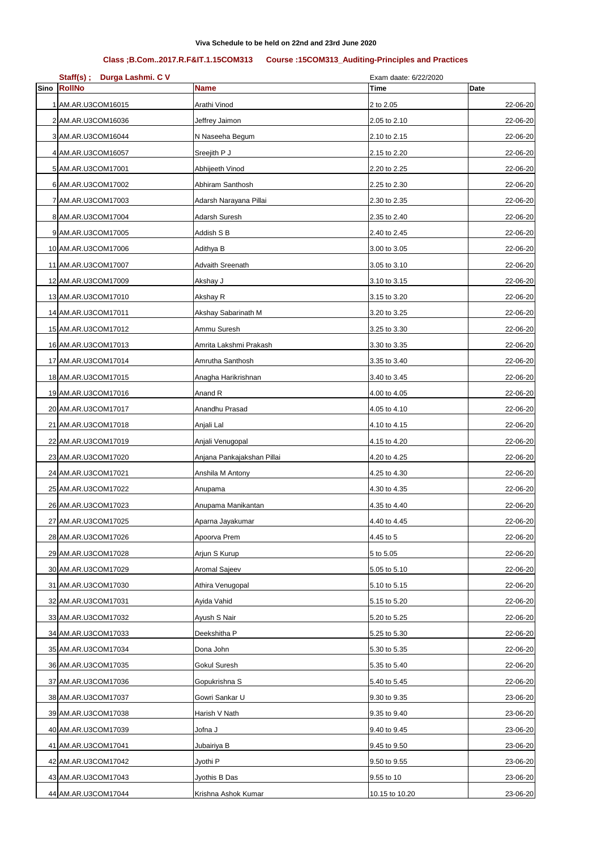| $Staff(s)$ ;<br>Durga Lashmi. C V |                            | Exam daate: 6/22/2020 |             |
|-----------------------------------|----------------------------|-----------------------|-------------|
| Sino RollNo                       | <b>Name</b>                | <b>Time</b>           | <b>Date</b> |
| 1 AM.AR.U3COM16015                | Arathi Vinod               | 2 to 2.05             | 22-06-20    |
| 2 AM.AR.U3COM16036                | Jeffrey Jaimon             | 2.05 to 2.10          | 22-06-20    |
| 3 AM.AR.U3COM16044                | N Naseeha Begum            | 2.10 to 2.15          | 22-06-20    |
| 4 AM.AR.U3COM16057                | Sreejith P J               | 2.15 to 2.20          | 22-06-20    |
| 5 AM.AR.U3COM17001                | Abhijeeth Vinod            | 2.20 to 2.25          | 22-06-20    |
| 6 AM.AR.U3COM17002                | Abhiram Santhosh           | 2.25 to 2.30          | 22-06-20    |
| 7 AM.AR.U3COM17003                | Adarsh Narayana Pillai     | 2.30 to 2.35          | 22-06-20    |
| 8 AM.AR.U3COM17004                | Adarsh Suresh              | 2.35 to 2.40          | 22-06-20    |
| 9 AM.AR.U3COM17005                | Addish S B                 | 2.40 to 2.45          | 22-06-20    |
| 10 AM.AR.U3COM17006               | Adithya B                  | 3.00 to 3.05          | 22-06-20    |
| 11 AM.AR.U3COM17007               | <b>Advaith Sreenath</b>    | 3.05 to 3.10          | 22-06-20    |
| 12 AM.AR.U3COM17009               | Akshay J                   | 3.10 to 3.15          | 22-06-20    |
| 13 AM.AR.U3COM17010               | Akshay R                   | 3.15 to 3.20          | 22-06-20    |
| 14 AM.AR.U3COM17011               | Akshay Sabarinath M        | 3.20 to 3.25          | 22-06-20    |
| 15 AM.AR.U3COM17012               | Ammu Suresh                | 3.25 to 3.30          | 22-06-20    |
| 16 AM.AR.U3COM17013               | Amrita Lakshmi Prakash     | 3.30 to 3.35          | 22-06-20    |
| 17 AM.AR.U3COM17014               | Amrutha Santhosh           | 3.35 to 3.40          | 22-06-20    |
| 18 AM.AR.U3COM17015               | Anagha Harikrishnan        | 3.40 to 3.45          | 22-06-20    |
| 19 AM.AR.U3COM17016               | Anand R                    | 4.00 to 4.05          | 22-06-20    |
| 20 AM.AR.U3COM17017               | Anandhu Prasad             | 4.05 to 4.10          | 22-06-20    |
| 21 AM.AR.U3COM17018               | Anjali Lal                 | 4.10 to 4.15          | 22-06-20    |
| 22 AM.AR.U3COM17019               | Anjali Venugopal           | 4.15 to 4.20          | 22-06-20    |
| 23 AM.AR.U3COM17020               | Anjana Pankajakshan Pillai | 4.20 to 4.25          | 22-06-20    |
| 24 AM.AR.U3COM17021               | Anshila M Antony           | 4.25 to 4.30          | 22-06-20    |
| 25 AM.AR.U3COM17022               | Anupama                    | 4.30 to 4.35          | 22-06-20    |
| 26 AM.AR.U3COM17023               | Anupama Manikantan         | 4.35 to 4.40          | 22-06-20    |
| 27 AM.AR.U3COM17025               | Aparna Jayakumar           | 4.40 to 4.45          | 22-06-20    |
| 28 AM.AR.U3COM17026               | Apoorva Prem               | 4.45 to 5             | 22-06-20    |
| 29 AM.AR.U3COM17028               | Arjun S Kurup              | 5 to 5.05             | 22-06-20    |
| 30 AM.AR.U3COM17029               | Aromal Sajeev              | 5.05 to 5.10          | 22-06-20    |
| 31 AM.AR.U3COM17030               | Athira Venugopal           | 5.10 to 5.15          | 22-06-20    |
| 32 AM.AR.U3COM17031               | Ayida Vahid                | 5.15 to 5.20          | 22-06-20    |
| 33 AM.AR.U3COM17032               | Ayush S Nair               | 5.20 to 5.25          | 22-06-20    |
| 34 AM.AR.U3COM17033               | Deekshitha P               | 5.25 to 5.30          | 22-06-20    |
| 35 AM.AR.U3COM17034               | Dona John                  | 5.30 to 5.35          | 22-06-20    |
| 36 AM.AR.U3COM17035               | <b>Gokul Suresh</b>        | 5.35 to 5.40          | 22-06-20    |
| 37 AM.AR.U3COM17036               | Gopukrishna S              | 5.40 to 5.45          | 22-06-20    |
| 38 AM.AR.U3COM17037               | Gowri Sankar U             | 9.30 to 9.35          | 23-06-20    |
| 39 AM.AR.U3COM17038               | Harish V Nath              | 9.35 to 9.40          | 23-06-20    |
| 40 AM.AR.U3COM17039               | Jofna J                    | 9.40 to 9.45          | 23-06-20    |
| 41 AM.AR.U3COM17041               | Jubairiya B                | 9.45 to 9.50          | 23-06-20    |
| 42 AM.AR.U3COM17042               | Jyothi P                   | 9.50 to 9.55          | 23-06-20    |
| 43 AM.AR.U3COM17043               | Jyothis B Das              | 9.55 to 10            | 23-06-20    |
| 44 AM.AR.U3COM17044               | Krishna Ashok Kumar        | 10.15 to 10.20        | 23-06-20    |

## **Class ;B.Com..2017.R.F&IT.1.15COM313 Course :15COM313\_Auditing-Principles and Practices**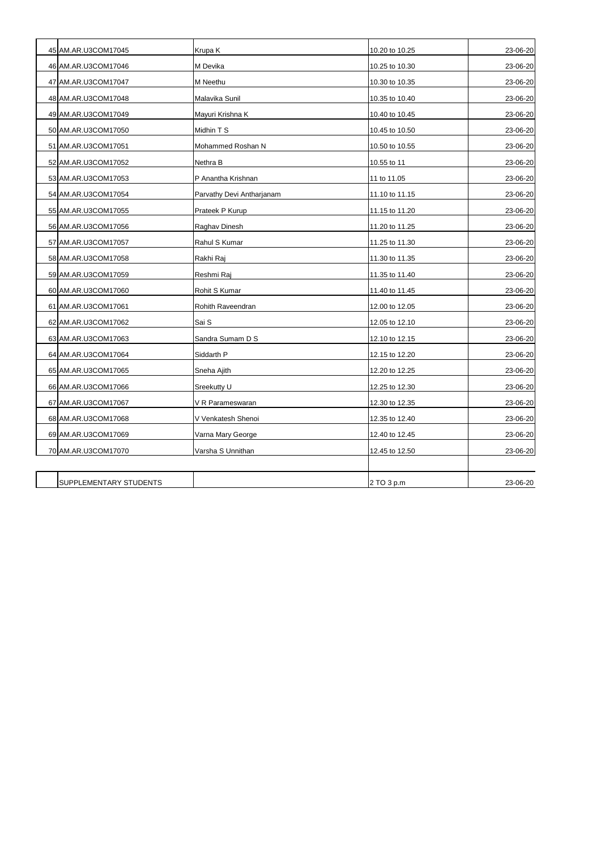| 45 AM.AR.U3COM17045    | Krupa K                   | 10.20 to 10.25 | 23-06-20 |
|------------------------|---------------------------|----------------|----------|
| 46 AM.AR.U3COM17046    | M Devika                  | 10.25 to 10.30 | 23-06-20 |
|                        |                           |                |          |
| 47 AM.AR.U3COM17047    | M Neethu                  | 10.30 to 10.35 | 23-06-20 |
| 48 AM.AR.U3COM17048    | Malavika Sunil            | 10.35 to 10.40 | 23-06-20 |
| 49 AM.AR.U3COM17049    | Mayuri Krishna K          | 10.40 to 10.45 | 23-06-20 |
| 50 AM.AR.U3COM17050    | Midhin T S                | 10.45 to 10.50 | 23-06-20 |
| 51 AM.AR.U3COM17051    | Mohammed Roshan N         | 10.50 to 10.55 | 23-06-20 |
| 52 AM.AR.U3COM17052    | Nethra B                  | 10.55 to 11    | 23-06-20 |
| 53 AM.AR.U3COM17053    | P Anantha Krishnan        | 11 to 11.05    | 23-06-20 |
| 54 AM.AR.U3COM17054    | Parvathy Devi Antharjanam | 11.10 to 11.15 | 23-06-20 |
| 55 AM.AR.U3COM17055    | Prateek P Kurup           | 11.15 to 11.20 | 23-06-20 |
| 56 AM.AR.U3COM17056    | Raghav Dinesh             | 11.20 to 11.25 | 23-06-20 |
| 57 AM.AR.U3COM17057    | Rahul S Kumar             | 11.25 to 11.30 | 23-06-20 |
| 58 AM.AR.U3COM17058    | Rakhi Raj                 | 11.30 to 11.35 | 23-06-20 |
| 59 AM.AR.U3COM17059    | Reshmi Raj                | 11.35 to 11.40 | 23-06-20 |
| 60 AM.AR.U3COM17060    | Rohit S Kumar             | 11.40 to 11.45 | 23-06-20 |
| 61 AM.AR.U3COM17061    | Rohith Raveendran         | 12.00 to 12.05 | 23-06-20 |
| 62 AM.AR.U3COM17062    | Sai S                     | 12.05 to 12.10 | 23-06-20 |
| 63 AM.AR.U3COM17063    | Sandra Sumam D S          | 12.10 to 12.15 | 23-06-20 |
| 64 AM.AR.U3COM17064    | Siddarth P                | 12.15 to 12.20 | 23-06-20 |
| 65 AM.AR.U3COM17065    | Sneha Ajith               | 12.20 to 12.25 | 23-06-20 |
| 66 AM.AR.U3COM17066    | Sreekutty U               | 12.25 to 12.30 | 23-06-20 |
| 67 AM.AR.U3COM17067    | V R Parameswaran          | 12.30 to 12.35 | 23-06-20 |
| 68 AM.AR.U3COM17068    | V Venkatesh Shenoi        | 12.35 to 12.40 | 23-06-20 |
| 69 AM.AR.U3COM17069    | Varna Mary George         | 12.40 to 12.45 | 23-06-20 |
| 70 AM.AR.U3COM17070    | Varsha S Unnithan         | 12.45 to 12.50 | 23-06-20 |
|                        |                           |                |          |
| SUPPLEMENTARY STUDENTS |                           | 2 TO 3 p.m     | 23-06-20 |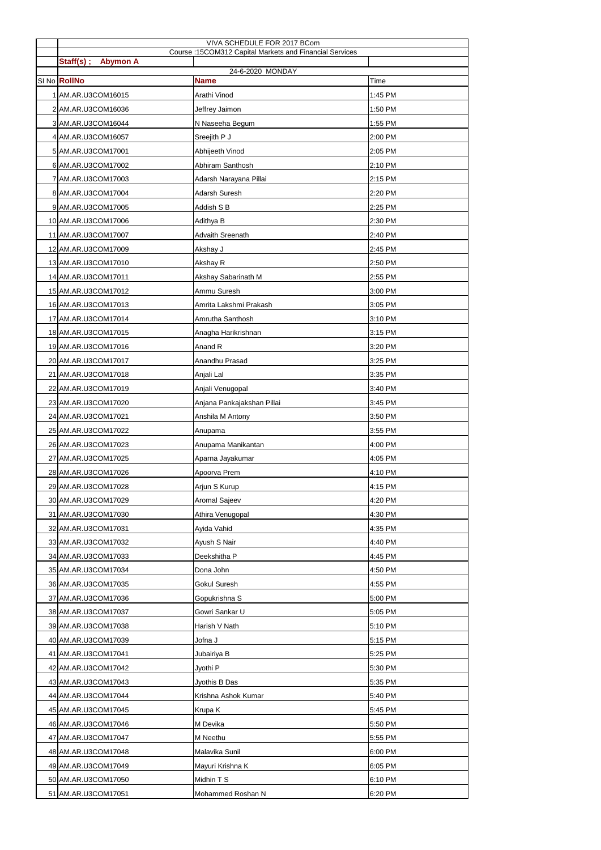|                              | VIVA SCHEDULE FOR 2017 BCom                             |         |
|------------------------------|---------------------------------------------------------|---------|
| Staff(s);<br><b>Abymon A</b> | Course: 15COM312 Capital Markets and Financial Services |         |
|                              | 24-6-2020 MONDAY                                        |         |
| SI No RollNo                 | <b>Name</b>                                             | Time    |
| 1 AM.AR.U3COM16015           | Arathi Vinod                                            | 1:45 PM |
| 2 AM.AR.U3COM16036           | Jeffrey Jaimon                                          | 1:50 PM |
| 3 AM.AR.U3COM16044           | N Naseeha Begum                                         | 1:55 PM |
| 4 AM.AR.U3COM16057           | Sreejith P J                                            | 2:00 PM |
| 5 AM.AR.U3COM17001           | Abhijeeth Vinod                                         | 2:05 PM |
| 6 AM.AR.U3COM17002           | Abhiram Santhosh                                        | 2:10 PM |
| 7 AM.AR.U3COM17003           | Adarsh Narayana Pillai                                  | 2:15 PM |
| 8 AM.AR.U3COM17004           | Adarsh Suresh                                           | 2:20 PM |
| 9 AM.AR.U3COM17005           | Addish S B                                              | 2:25 PM |
| 10 AM.AR.U3COM17006          | Adithya B                                               | 2:30 PM |
| 11 AM.AR.U3COM17007          | <b>Advaith Sreenath</b>                                 | 2:40 PM |
| 12 AM.AR.U3COM17009          | Akshay J                                                | 2:45 PM |
| 13 AM.AR.U3COM17010          | Akshay R                                                | 2:50 PM |
| 14 AM.AR.U3COM17011          | Akshay Sabarinath M                                     | 2:55 PM |
| 15 AM.AR.U3COM17012          | Ammu Suresh                                             | 3:00 PM |
| 16 AM.AR.U3COM17013          | Amrita Lakshmi Prakash                                  | 3:05 PM |
| 17 AM.AR.U3COM17014          | Amrutha Santhosh                                        | 3:10 PM |
| 18 AM.AR.U3COM17015          | Anagha Harikrishnan                                     | 3:15 PM |
| 19 AM.AR.U3COM17016          | Anand R                                                 | 3:20 PM |
| 20 AM.AR.U3COM17017          | Anandhu Prasad                                          | 3:25 PM |
| 21 AM.AR.U3COM17018          | Anjali Lal                                              | 3:35 PM |
| 22 AM.AR.U3COM17019          | Anjali Venugopal                                        | 3:40 PM |
| 23 AM.AR.U3COM17020          | Anjana Pankajakshan Pillai                              | 3:45 PM |
| 24 AM.AR.U3COM17021          | Anshila M Antony                                        | 3:50 PM |
| 25 AM.AR.U3COM17022          | Anupama                                                 | 3:55 PM |
| 26 AM.AR.U3COM17023          | Anupama Manikantan                                      | 4:00 PM |
| 27 AM.AR.U3COM17025          | Aparna Jayakumar                                        | 4:05 PM |
| 28 AM.AR.U3COM17026          | Apoorva Prem                                            | 4:10 PM |
| 29 AM.AR.U3COM17028          | Arjun S Kurup                                           | 4:15 PM |
| 30 AM.AR.U3COM17029          | Aromal Sajeev                                           | 4:20 PM |
| 31 AM.AR.U3COM17030          | Athira Venugopal                                        | 4:30 PM |
| 32 AM.AR.U3COM17031          | Ayida Vahid                                             | 4:35 PM |
| 33 AM.AR.U3COM17032          | Ayush S Nair                                            | 4:40 PM |
| 34 AM.AR.U3COM17033          | Deekshitha P                                            | 4:45 PM |
| 35 AM.AR.U3COM17034          | Dona John                                               | 4:50 PM |
| 36 AM.AR.U3COM17035          | Gokul Suresh                                            | 4:55 PM |
| 37 AM.AR.U3COM17036          | Gopukrishna S                                           | 5:00 PM |
| 38 AM.AR.U3COM17037          | Gowri Sankar U                                          | 5:05 PM |
| 39 AM.AR.U3COM17038          | Harish V Nath                                           | 5:10 PM |
| 40 AM.AR.U3COM17039          | Jofna J                                                 | 5:15 PM |
| 41 AM.AR.U3COM17041          | Jubairiya B                                             | 5:25 PM |
| 42 AM.AR.U3COM17042          | Jyothi P                                                | 5:30 PM |
| 43 AM.AR.U3COM17043          | Jyothis B Das                                           | 5:35 PM |
| 44 AM.AR.U3COM17044          | Krishna Ashok Kumar                                     | 5:40 PM |
| 45 AM.AR.U3COM17045          | Krupa K                                                 | 5:45 PM |
| 46 AM.AR.U3COM17046          | M Devika                                                | 5:50 PM |
| 47 AM.AR.U3COM17047          | M Neethu                                                | 5:55 PM |
| 48 AM.AR.U3COM17048          | Malavika Sunil                                          | 6:00 PM |
| 49 AM.AR.U3COM17049          | Mayuri Krishna K                                        | 6:05 PM |
| 50 AM.AR.U3COM17050          | Midhin T S                                              | 6:10 PM |
| 51 AM.AR.U3COM17051          | Mohammed Roshan N                                       | 6:20 PM |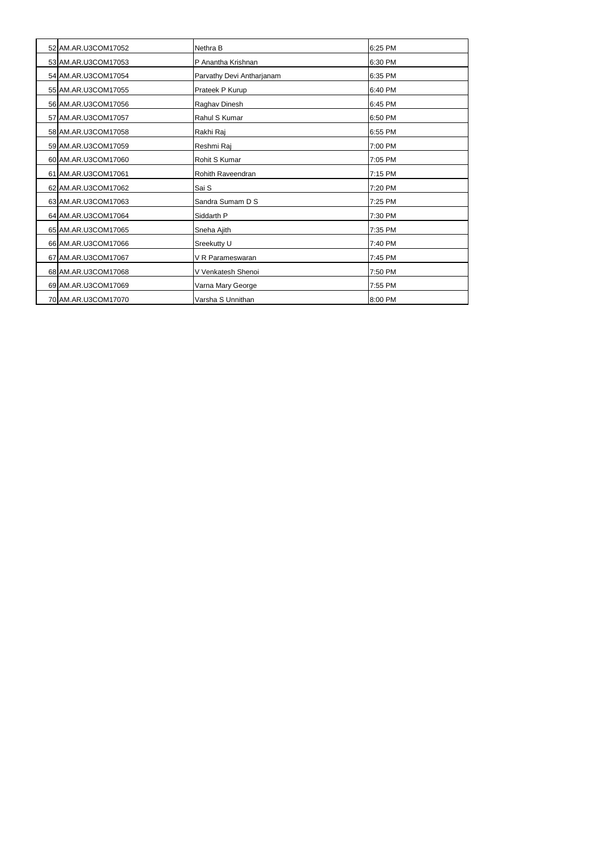| 52 AM.AR.U3COM17052 | Nethra B                  | 6:25 PM |
|---------------------|---------------------------|---------|
| 53 AM.AR.U3COM17053 | P Anantha Krishnan        | 6:30 PM |
| 54 AM.AR.U3COM17054 | Parvathy Devi Antharjanam | 6:35 PM |
| 55 AM.AR.U3COM17055 | Prateek P Kurup           | 6:40 PM |
| 56 AM.AR.U3COM17056 | Raghav Dinesh             | 6:45 PM |
| 57 AM.AR.U3COM17057 | Rahul S Kumar             | 6:50 PM |
| 58 AM.AR.U3COM17058 | Rakhi Raj                 | 6:55 PM |
| 59 AM.AR.U3COM17059 | Reshmi Raj                | 7:00 PM |
| 60 AM.AR.U3COM17060 | Rohit S Kumar             | 7:05 PM |
| 61 AM.AR.U3COM17061 | Rohith Raveendran         | 7:15 PM |
| 62 AM.AR.U3COM17062 | Sai S                     | 7:20 PM |
| 63 AM.AR.U3COM17063 | Sandra Sumam D S          | 7:25 PM |
| 64 AM.AR.U3COM17064 | Siddarth P                | 7:30 PM |
| 65 AM.AR.U3COM17065 | Sneha Ajith               | 7:35 PM |
| 66 AM.AR.U3COM17066 | Sreekutty U               | 7:40 PM |
| 67 AM.AR.U3COM17067 | V R Parameswaran          | 7:45 PM |
| 68 AM.AR.U3COM17068 | V Venkatesh Shenoi        | 7:50 PM |
| 69 AM.AR.U3COM17069 | Varna Mary George         | 7:55 PM |
| 70 AM.AR.U3COM17070 | Varsha S Unnithan         | 8:00 PM |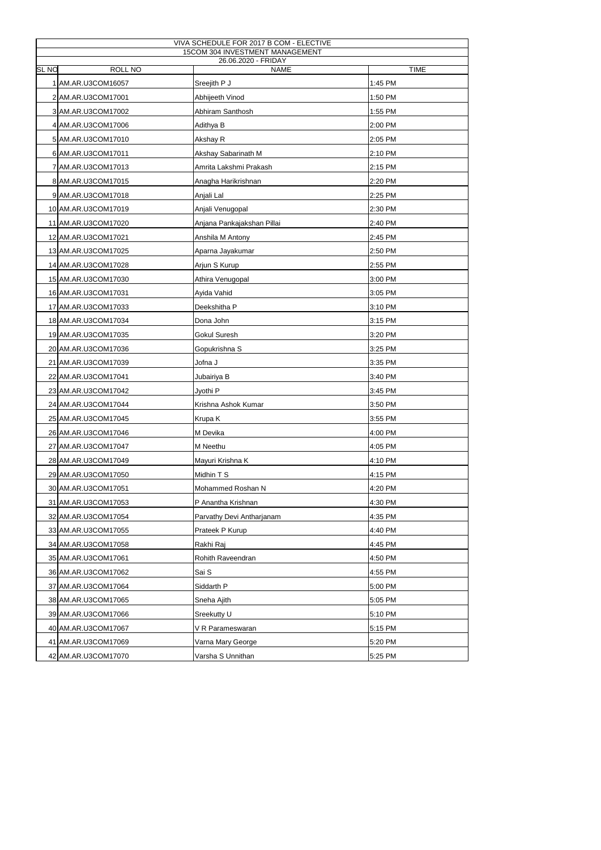| VIVA SCHEDULE FOR 2017 B COM - ELECTIVE |                                    |             |  |  |
|-----------------------------------------|------------------------------------|-------------|--|--|
| 15COM 304 INVESTMENT MANAGEMENT         |                                    |             |  |  |
| <b>SL NO</b><br>ROLL NO                 | 26.06.2020 - FRIDAY<br><b>NAME</b> | <b>TIME</b> |  |  |
| 1 AM.AR.U3COM16057                      | Sreejith P J                       | 1:45 PM     |  |  |
| 2 AM.AR.U3COM17001                      | Abhijeeth Vinod                    | 1:50 PM     |  |  |
| 3 AM.AR.U3COM17002                      | Abhiram Santhosh                   | 1:55 PM     |  |  |
| 4 AM.AR.U3COM17006                      | Adithya B                          | 2:00 PM     |  |  |
| 5 AM.AR.U3COM17010                      | Akshay R                           | 2:05 PM     |  |  |
| 6 AM.AR.U3COM17011                      | Akshay Sabarinath M                | 2:10 PM     |  |  |
| 7 AM.AR.U3COM17013                      | Amrita Lakshmi Prakash             | 2:15 PM     |  |  |
| 8 AM.AR.U3COM17015                      | Anagha Harikrishnan                | 2:20 PM     |  |  |
| 9 AM.AR.U3COM17018                      | Anjali Lal                         | 2:25 PM     |  |  |
| 10 AM.AR.U3COM17019                     | Anjali Venugopal                   | 2:30 PM     |  |  |
| 11 AM.AR.U3COM17020                     | Anjana Pankajakshan Pillai         | 2:40 PM     |  |  |
| 12 AM.AR.U3COM17021                     | Anshila M Antony                   | 2:45 PM     |  |  |
| 13 AM.AR.U3COM17025                     | Aparna Jayakumar                   | 2:50 PM     |  |  |
| 14 AM.AR.U3COM17028                     | Arjun S Kurup                      | 2:55 PM     |  |  |
| 15 AM.AR.U3COM17030                     | Athira Venugopal                   | 3:00 PM     |  |  |
| 16 AM.AR.U3COM17031                     | Ayida Vahid                        | 3:05 PM     |  |  |
| 17 AM.AR.U3COM17033                     | Deekshitha P                       | 3:10 PM     |  |  |
| 18 AM.AR.U3COM17034                     | Dona John                          | 3:15 PM     |  |  |
| 19 AM.AR.U3COM17035                     | Gokul Suresh                       | 3:20 PM     |  |  |
| 20 AM.AR.U3COM17036                     | Gopukrishna S                      | 3:25 PM     |  |  |
| 21 AM.AR.U3COM17039                     | Jofna J                            | 3:35 PM     |  |  |
| 22 AM.AR.U3COM17041                     | Jubairiya B                        | 3:40 PM     |  |  |
| 23 AM.AR.U3COM17042                     | Jyothi P                           | 3:45 PM     |  |  |
| 24 AM.AR.U3COM17044                     | Krishna Ashok Kumar                | 3:50 PM     |  |  |
| 25 AM.AR.U3COM17045                     | Krupa K                            | 3:55 PM     |  |  |
| 26 AM.AR.U3COM17046                     | M Devika                           | 4:00 PM     |  |  |
| 27 AM.AR.U3COM17047                     | M Neethu                           | 4:05 PM     |  |  |
| 28 AM.AR.U3COM17049                     | Mayuri Krishna K                   | 4:10 PM     |  |  |
| 29 AM.AR.U3COM17050                     | Midhin T S                         | 4:15 PM     |  |  |
| 30 AM.AR.U3COM17051                     | Mohammed Roshan N                  | 4:20 PM     |  |  |
| 31 AM.AR.U3COM17053                     | P Anantha Krishnan                 | 4:30 PM     |  |  |
| 32 AM.AR.U3COM17054                     | Parvathy Devi Antharjanam          | 4:35 PM     |  |  |
| 33 AM.AR.U3COM17055                     | Prateek P Kurup                    | 4:40 PM     |  |  |
| 34 AM.AR.U3COM17058                     | Rakhi Raj                          | 4:45 PM     |  |  |
| 35 AM.AR.U3COM17061                     | Rohith Raveendran                  | 4:50 PM     |  |  |
| 36 AM.AR.U3COM17062                     | Sai S                              | 4:55 PM     |  |  |
| 37 AM.AR.U3COM17064                     | Siddarth P                         | 5:00 PM     |  |  |
| 38 AM.AR.U3COM17065                     | Sneha Ajith                        | 5:05 PM     |  |  |
| 39 AM.AR.U3COM17066                     | Sreekutty U                        | 5:10 PM     |  |  |
| 40 AM.AR.U3COM17067                     | V R Parameswaran                   | 5:15 PM     |  |  |
| 41 AM.AR.U3COM17069                     | Varna Mary George                  | 5:20 PM     |  |  |
| 42 AM.AR.U3COM17070                     | Varsha S Unnithan                  | 5:25 PM     |  |  |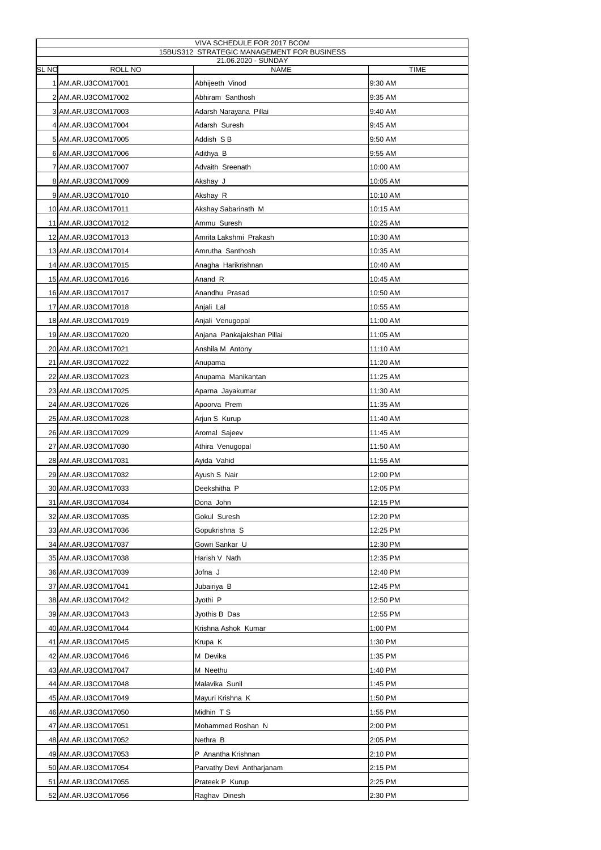| VIVA SCHEDULE FOR 2017 BCOM<br>15BUS312 STRATEGIC MANAGEMENT FOR BUSINESS<br>21.06.2020 - SUNDAY |                      |                            |             |  |
|--------------------------------------------------------------------------------------------------|----------------------|----------------------------|-------------|--|
| <b>SL NO</b>                                                                                     | <b>ROLL NO</b>       | <b>NAME</b>                | <b>TIME</b> |  |
|                                                                                                  | 1 AM.AR.U3COM17001   | Abhijeeth Vinod            | 9:30 AM     |  |
|                                                                                                  | 2 AM.AR.U3COM17002   | Abhiram Santhosh           | 9:35 AM     |  |
|                                                                                                  | 3 AM.AR.U3COM17003   | Adarsh Narayana Pillai     | 9:40 AM     |  |
|                                                                                                  | 4 AM.AR.U3COM17004   | Adarsh Suresh              | 9:45 AM     |  |
|                                                                                                  | 5 AM.AR.U3COM17005   | Addish S B                 | 9:50 AM     |  |
|                                                                                                  | 6 AM.AR.U3COM17006   | Adithya B                  | 9:55 AM     |  |
|                                                                                                  | 7   AM.AR.U3COM17007 | Advaith Sreenath           | 10:00 AM    |  |
|                                                                                                  | 8 AM.AR.U3COM17009   | Akshay J                   | 10:05 AM    |  |
|                                                                                                  | 9 AM.AR.U3COM17010   | Akshay R                   | 10:10 AM    |  |
|                                                                                                  | 10 AM.AR.U3COM17011  | Akshay Sabarinath M        | 10:15 AM    |  |
|                                                                                                  | 11 AM.AR.U3COM17012  | Ammu Suresh                | 10:25 AM    |  |
|                                                                                                  | 12 AM.AR.U3COM17013  | Amrita Lakshmi Prakash     | 10:30 AM    |  |
|                                                                                                  | 13 AM.AR.U3COM17014  | Amrutha Santhosh           | 10:35 AM    |  |
|                                                                                                  | 14 AM.AR.U3COM17015  | Anagha Harikrishnan        | 10:40 AM    |  |
|                                                                                                  | 15 AM.AR.U3COM17016  | Anand R                    | 10:45 AM    |  |
|                                                                                                  | 16 AM.AR.U3COM17017  | Anandhu Prasad             | 10:50 AM    |  |
|                                                                                                  | 17 AM.AR.U3COM17018  | Anjali Lal                 | 10:55 AM    |  |
|                                                                                                  | 18 AM.AR.U3COM17019  | Anjali Venugopal           | 11:00 AM    |  |
|                                                                                                  | 19 AM.AR.U3COM17020  | Anjana Pankajakshan Pillai | 11:05 AM    |  |
|                                                                                                  | 20 AM.AR.U3COM17021  | Anshila M Antony           | 11:10 AM    |  |
|                                                                                                  | 21 AM.AR.U3COM17022  | Anupama                    | 11:20 AM    |  |
|                                                                                                  | 22 AM.AR.U3COM17023  | Anupama Manikantan         | 11:25 AM    |  |
|                                                                                                  | 23 AM.AR.U3COM17025  | Aparna Jayakumar           | 11:30 AM    |  |
|                                                                                                  | 24 AM.AR.U3COM17026  | Apoorva Prem               | 11:35 AM    |  |
|                                                                                                  | 25 AM.AR.U3COM17028  | Arjun S Kurup              | 11:40 AM    |  |
|                                                                                                  | 26 AM.AR.U3COM17029  | Aromal Sajeev              | 11:45 AM    |  |
|                                                                                                  | 27 AM.AR.U3COM17030  | Athira Venugopal           | 11:50 AM    |  |
|                                                                                                  | 28 AM.AR.U3COM17031  | Ayida Vahid                | 11:55 AM    |  |
|                                                                                                  | 29 AM.AR.U3COM17032  | Ayush S Nair               | 12:00 PM    |  |
|                                                                                                  | 30 AM.AR.U3COM17033  | Deekshitha P               | 12:05 PM    |  |
|                                                                                                  | 31 AM.AR.U3COM17034  | Dona John                  | 12:15 PM    |  |
|                                                                                                  | 32 AM.AR.U3COM17035  | Gokul Suresh               | 12:20 PM    |  |
|                                                                                                  | 33 AM.AR.U3COM17036  | Gopukrishna S              | 12:25 PM    |  |
|                                                                                                  | 34 AM.AR.U3COM17037  | Gowri Sankar U             | 12:30 PM    |  |
|                                                                                                  | 35 AM.AR.U3COM17038  | Harish V Nath              | 12:35 PM    |  |
|                                                                                                  | 36 AM.AR.U3COM17039  | Jofna J                    | 12:40 PM    |  |
|                                                                                                  | 37 AM.AR.U3COM17041  | Jubairiya B                | 12:45 PM    |  |
|                                                                                                  | 38 AM.AR.U3COM17042  | Jyothi P                   | 12:50 PM    |  |
|                                                                                                  | 39 AM.AR.U3COM17043  | Jyothis B Das              | 12:55 PM    |  |
|                                                                                                  | 40 AM.AR.U3COM17044  | Krishna Ashok Kumar        | 1:00 PM     |  |
|                                                                                                  |                      |                            |             |  |
|                                                                                                  | 41 AM.AR.U3COM17045  | Krupa K                    | 1:30 PM     |  |
|                                                                                                  | 42 AM.AR.U3COM17046  | M Devika                   | 1:35 PM     |  |
|                                                                                                  | 43 AM.AR.U3COM17047  | M Neethu                   | 1:40 PM     |  |
|                                                                                                  | 44 AM.AR.U3COM17048  | Malavika Sunil             | 1:45 PM     |  |
|                                                                                                  | 45 AM.AR.U3COM17049  | Mayuri Krishna K           | 1:50 PM     |  |
|                                                                                                  | 46 AM.AR.U3COM17050  | Midhin TS                  | 1:55 PM     |  |
|                                                                                                  | 47 AM.AR.U3COM17051  | Mohammed Roshan N          | 2:00 PM     |  |
|                                                                                                  | 48 AM.AR.U3COM17052  | Nethra B                   | 2:05 PM     |  |
|                                                                                                  | 49 AM.AR.U3COM17053  | P Anantha Krishnan         | 2:10 PM     |  |
|                                                                                                  | 50 AM.AR.U3COM17054  | Parvathy Devi Antharjanam  | 2:15 PM     |  |
|                                                                                                  | 51 AM.AR.U3COM17055  | Prateek P Kurup            | 2:25 PM     |  |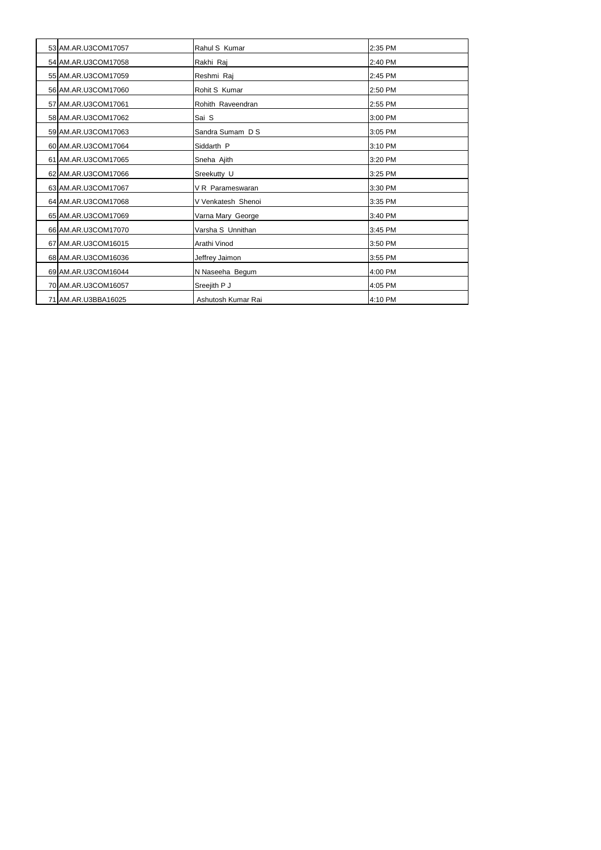| 53 AM.AR.U3COM17057 | Rahul S Kumar      | 2:35 PM |
|---------------------|--------------------|---------|
| 54 AM.AR.U3COM17058 | Rakhi Raj          | 2:40 PM |
| 55 AM.AR.U3COM17059 | Reshmi Raj         | 2:45 PM |
| 56 AM.AR.U3COM17060 | Rohit S Kumar      | 2:50 PM |
| 57 AM.AR.U3COM17061 | Rohith Raveendran  | 2:55 PM |
| 58 AM.AR.U3COM17062 | Sai S              | 3:00 PM |
| 59 AM.AR.U3COM17063 | Sandra Sumam D S   | 3:05 PM |
| 60 AM.AR.U3COM17064 | Siddarth P         | 3:10 PM |
| 61 AM.AR.U3COM17065 | Sneha Ajith        | 3:20 PM |
| 62 AM.AR.U3COM17066 | Sreekutty U        | 3:25 PM |
| 63 AM.AR.U3COM17067 | V R Parameswaran   | 3:30 PM |
| 64 AM.AR.U3COM17068 | V Venkatesh Shenoi | 3:35 PM |
| 65 AM.AR.U3COM17069 | Varna Mary George  | 3:40 PM |
| 66 AM.AR.U3COM17070 | Varsha S Unnithan  | 3:45 PM |
| 67 AM.AR.U3COM16015 | Arathi Vinod       | 3:50 PM |
| 68 AM.AR.U3COM16036 | Jeffrey Jaimon     | 3:55 PM |
| 69 AM.AR.U3COM16044 | N Naseeha Begum    | 4:00 PM |
| 70 AM.AR.U3COM16057 | Sreejith P J       | 4:05 PM |
| 71 AM.AR.U3BBA16025 | Ashutosh Kumar Rai | 4:10 PM |